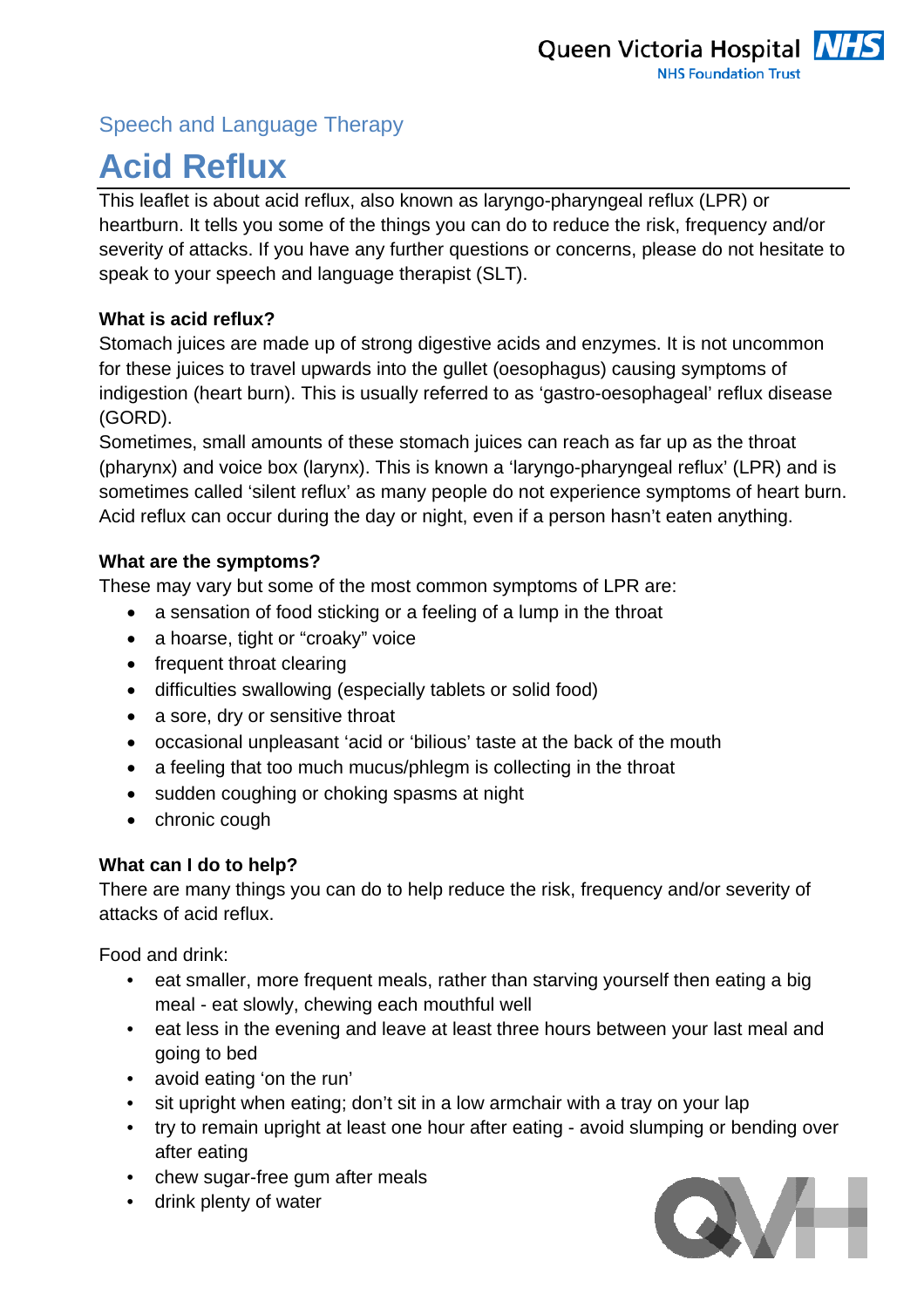### Speech and Language Therapy

# **Acid Reflux**

This leaflet is about acid reflux, also known as laryngo-pharyngeal reflux (LPR) or heartburn. It tells you some of the things you can do to reduce the risk, frequency and/or severity of attacks. If you have any further questions or concerns, please do not hesitate to speak to your speech and language therapist (SLT).

#### **What is acid reflux?**

Stomach juices are made up of strong digestive acids and enzymes. It is not uncommon for these juices to travel upwards into the gullet (oesophagus) causing symptoms of indigestion (heart burn). This is usually referred to as 'gastro-oesophageal' reflux disease (GORD).

Sometimes, small amounts of these stomach juices can reach as far up as the throat (pharynx) and voice box (larynx). This is known a 'laryngo-pharyngeal reflux' (LPR) and is sometimes called 'silent reflux' as many people do not experience symptoms of heart burn. Acid reflux can occur during the day or night, even if a person hasn't eaten anything.

#### **What are the symptoms?**

These may vary but some of the most common symptoms of LPR are:

- a sensation of food sticking or a feeling of a lump in the throat
- a hoarse, tight or "croaky" voice
- frequent throat clearing
- difficulties swallowing (especially tablets or solid food)
- a sore, dry or sensitive throat
- occasional unpleasant 'acid or 'bilious' taste at the back of the mouth
- a feeling that too much mucus/phlegm is collecting in the throat
- sudden coughing or choking spasms at night
- chronic cough

#### **What can I do to help?**

There are many things you can do to help reduce the risk, frequency and/or severity of attacks of acid reflux.

Food and drink:

- eat smaller, more frequent meals, rather than starving yourself then eating a big meal - eat slowly, chewing each mouthful well
- eat less in the evening and leave at least three hours between your last meal and going to bed
- avoid eating 'on the run'
- sit upright when eating; don't sit in a low armchair with a tray on your lap
- try to remain upright at least one hour after eating avoid slumping or bending over after eating
- chew sugar-free gum after meals
- drink plenty of water